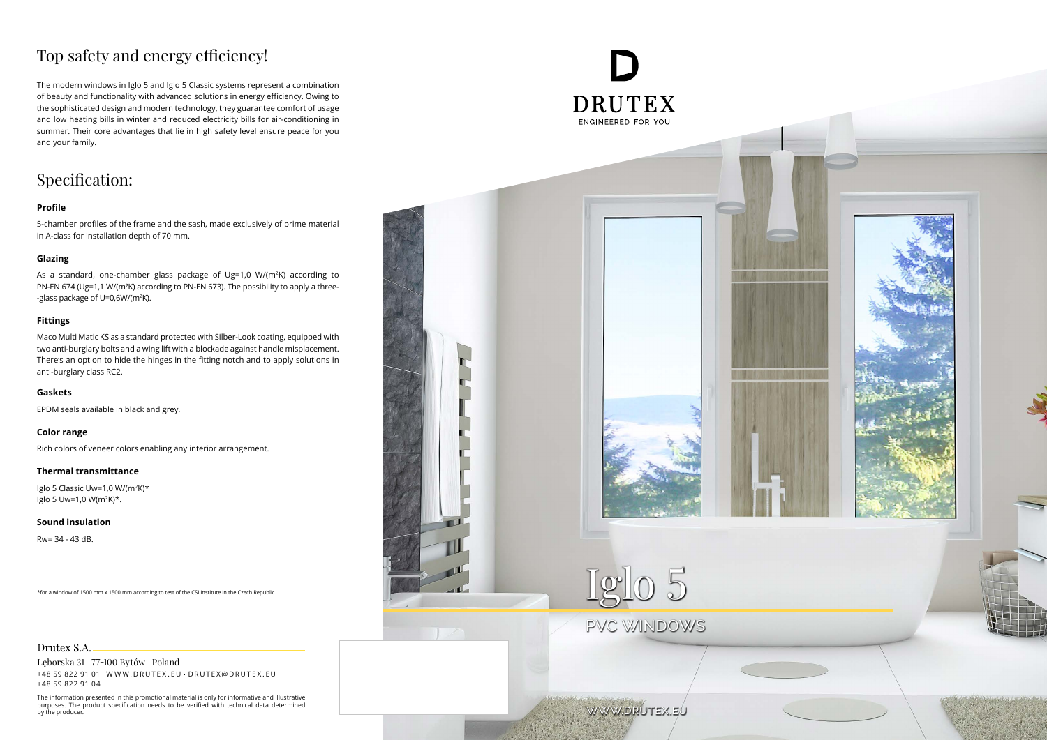## Top safety and energy efficiency!

### Specification:

The modern windows in Iglo 5 and Iglo 5 Classic systems represent a combination of beauty and functionality with advanced solutions in energy efficiency. Owing to the sophisticated design and modern technology, they guarantee comfort of usage and low heating bills in winter and reduced electricity bills for air-conditioning in summer. Their core advantages that lie in high safety level ensure peace for you and your family.

As a standard, one-chamber glass package of Ug=1,0 W/(m<sup>2</sup>K) according to PN-EN 674 (Ug=1,1 W/(m²K) according to PN-EN 673). The possibility to apply a three- -glass package of U=0,6W/(m2 K).

#### **Profile**

5-chamber profiles of the frame and the sash, made exclusively of prime material in A-class for installation depth of 70 mm.

#### **Glazing**

#### **Fittings**





#### Drutex S.A.

Maco Multi Matic KS as a standard protected with Silber-Look coating, equipped with two anti-burglary bolts and a wing lift with a blockade against handle misplacement. There's an option to hide the hinges in the fitting notch and to apply solutions in anti-burglary class RC2.

#### **Gaskets**

EPDM seals available in black and grey.

#### **Color range**

Rich colors of veneer colors enabling any interior arrangement.

#### **Thermal transmittance**

Iglo 5 Classic Uw=1,0 W/(m<sup>2</sup>K)\* Iglo 5 Uw=1,0  $W(m^2K)^*$ .

#### **Sound insulation**

Rw= 34 - 43 dB.

\*for a window of 1500 mm x 1500 mm according to test of the CSI Institute in the Czech Republic

# ENGINEERED FOR YOU

Lęborska 31 77-100 Bytów Poland +48 59 822 91 01 W W W . D R U T E X . E U D R U T E X @ D R U T E X . E U +48 59 822 91 04

The information presented in this promotional material is only for informative and illustrative purposes. The product specification needs to be verified with technical data determined